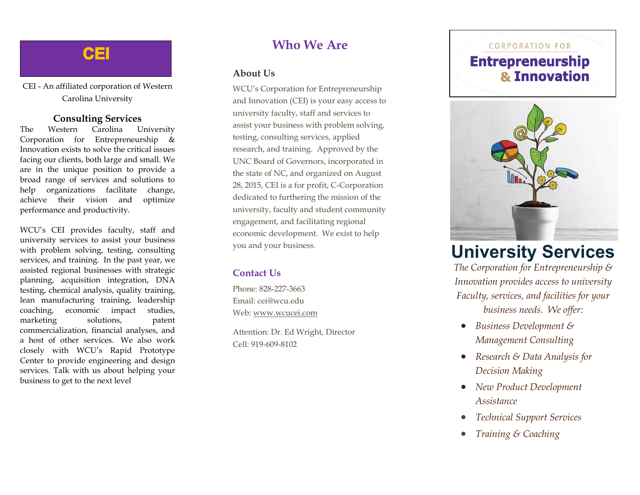## **CEI**

CEI - An affiliated corporation of Western Carolina University

### **Consulting Services**

The Western Carolina University Corporation for Entrepreneurship & Innovation exists to solve the critical issues facing our clients, both large and small. We are in the unique position to provide a broad range of services and solutions to help organizations facilitate change, achieve their vision and optimize performance and productivity.

WCU's CEI provides faculty, staff and university services to assist your business with problem solving, testing, consulting services, and training. In the past year, we assisted regional businesses with strategic planning, acquisition integration, DNA testing, chemical analysis, quality training, lean manufacturing training, leadership coaching, economic impact studies, marketing solutions, patent commercialization, financial analyses, and a host of other services. We also work closely with WCU's Rapid Prototype Center to provide engineering and design services. Talk with us about helping your business to get to the next level

### **Who We Are**

### **About Us**

WCU's Corporation for Entrepreneurship and Innovation (CEI) is your easy access to university faculty, staff and services to assist your business with problem solving, testing, consulting services, applied research, and training. Approved by the UNC Board of Governors, incorporated in the state of NC, and organized on August 28, 2015, CEI is a for profit, C-Corporation dedicated to furthering the mission of the university, faculty and student community engagement, and facilitating regional economic development. We exist to help you and your business.

### **Contact Us**

Phone: 828 -227 -3663 Email: cei@wcu.edu Web: [www.wcucei.com](http://www.wcucei.com/)

Attention: Dr. Ed Wright, Director Cell: 919 -609 -8102

## CORPORATION FOR **Entrepreneurship** & Innovation



## **University Services**

*The Corporation for Entrepreneurship & Innovation provides access to university Faculty, services, and facilities for your business needs. We offer:*

- *Business Development & Management Consulting*
- *Research & Data Analysis for Decision Making*
- *New Product Development Assistance*
- *Technical Support Services*
- *Training & Coaching*